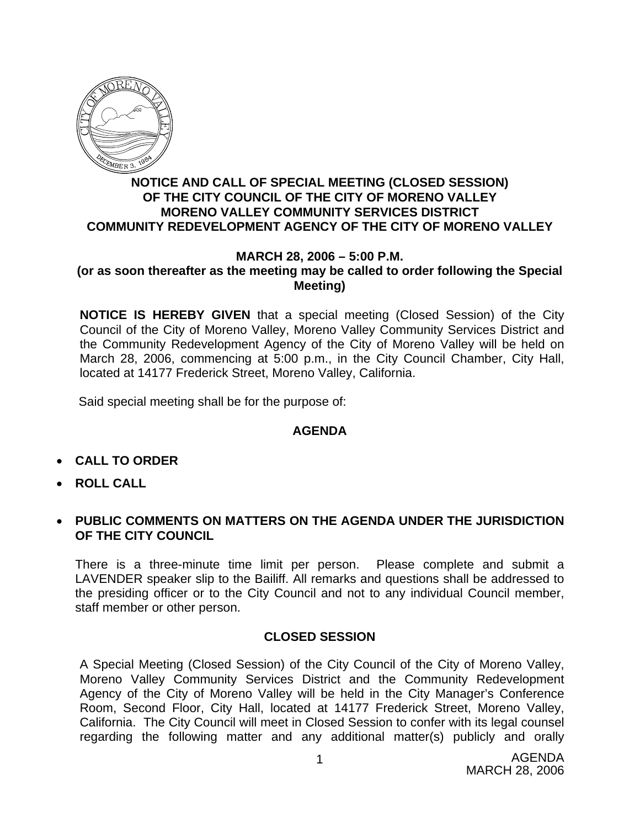

### **NOTICE AND CALL OF SPECIAL MEETING (CLOSED SESSION) OF THE CITY COUNCIL OF THE CITY OF MORENO VALLEY MORENO VALLEY COMMUNITY SERVICES DISTRICT COMMUNITY REDEVELOPMENT AGENCY OF THE CITY OF MORENO VALLEY**

### **MARCH 28, 2006 – 5:00 P.M.**

### **(or as soon thereafter as the meeting may be called to order following the Special Meeting)**

**NOTICE IS HEREBY GIVEN** that a special meeting (Closed Session) of the City Council of the City of Moreno Valley, Moreno Valley Community Services District and the Community Redevelopment Agency of the City of Moreno Valley will be held on March 28, 2006, commencing at 5:00 p.m., in the City Council Chamber, City Hall, located at 14177 Frederick Street, Moreno Valley, California.

Said special meeting shall be for the purpose of:

# **AGENDA**

- **CALL TO ORDER**
- **ROLL CALL**
- **PUBLIC COMMENTS ON MATTERS ON THE AGENDA UNDER THE JURISDICTION OF THE CITY COUNCIL**

There is a three-minute time limit per person. Please complete and submit a LAVENDER speaker slip to the Bailiff. All remarks and questions shall be addressed to the presiding officer or to the City Council and not to any individual Council member, staff member or other person.

# **CLOSED SESSION**

A Special Meeting (Closed Session) of the City Council of the City of Moreno Valley, Moreno Valley Community Services District and the Community Redevelopment Agency of the City of Moreno Valley will be held in the City Manager's Conference Room, Second Floor, City Hall, located at 14177 Frederick Street, Moreno Valley, California. The City Council will meet in Closed Session to confer with its legal counsel regarding the following matter and any additional matter(s) publicly and orally